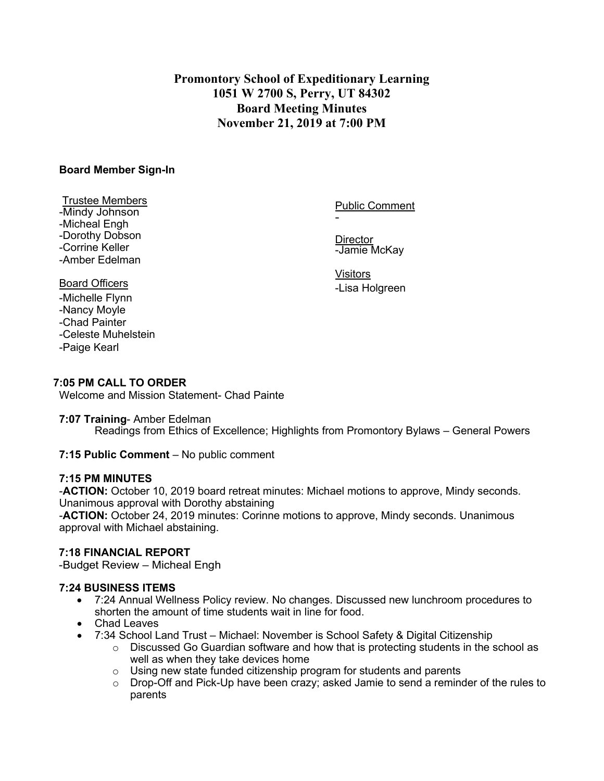# **Promontory School of Expeditionary Learning 1051 W 2700 S, Perry, UT 84302 Board Meeting Minutes November 21, 2019 at 7:00 PM**

## **Board Member Sign-In**

#### Trustee Members -Mindy Johnson -Micheal Engh -Dorothy Dobson -Corrine Keller -Amber Edelman

Public Comment

**Director** -Jamie McKay

-

Visitors -Lisa Holgreen

# Board Officers

-Michelle Flynn -Nancy Moyle -Chad Painter -Celeste Muhelstein -Paige Kearl

## **7:05 PM CALL TO ORDER**

Welcome and Mission Statement- Chad Painte

## **7:07 Training**- Amber Edelman

Readings from Ethics of Excellence; Highlights from Promontory Bylaws – General Powers

## **7:15 Public Comment** – No public comment

## **7:15 PM MINUTES**

-**ACTION:** October 10, 2019 board retreat minutes: Michael motions to approve, Mindy seconds. Unanimous approval with Dorothy abstaining

-**ACTION:** October 24, 2019 minutes: Corinne motions to approve, Mindy seconds. Unanimous approval with Michael abstaining.

## **7:18 FINANCIAL REPORT**

-Budget Review – Micheal Engh

## **7:24 BUSINESS ITEMS**

- 7:24 Annual Wellness Policy review. No changes. Discussed new lunchroom procedures to shorten the amount of time students wait in line for food.
- Chad Leaves
- 7:34 School Land Trust Michael: November is School Safety & Digital Citizenship
	- $\circ$  Discussed Go Guardian software and how that is protecting students in the school as well as when they take devices home
	- $\circ$  Using new state funded citizenship program for students and parents
	- $\circ$  Drop-Off and Pick-Up have been crazy; asked Jamie to send a reminder of the rules to parents